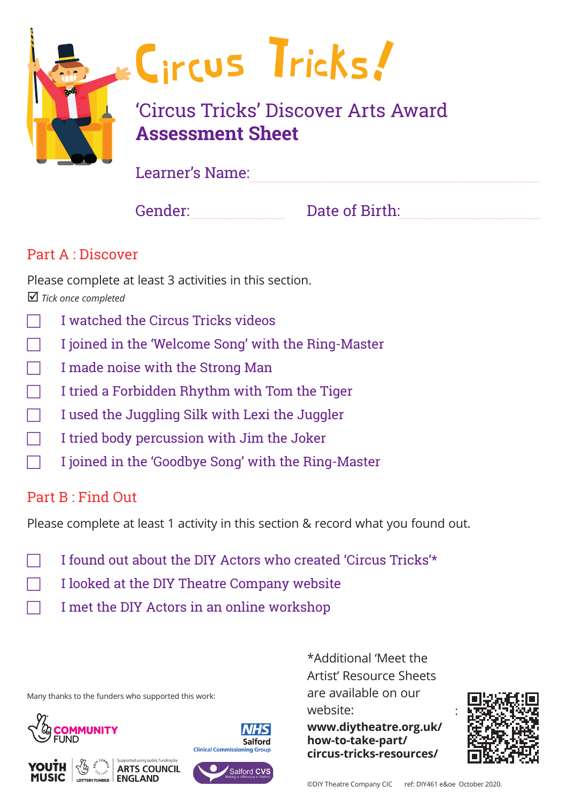

Learner's Name:

Gender: Date of Birth:

### Part A : Discover

Please complete at least 3 activities in this section.  *Tick once completed*

- F I watched the Circus Tricks videos
- F I joined in the 'Welcome Song' with the Ring-Master
- I made noise with the Strong Man
- F I tried a Forbidden Rhythm with Tom the Tiger
- F I used the Juggling Silk with Lexi the Juggler
- F I tried body percussion with Jim the Joker
- F I joined in the 'Goodbye Song' with the Ring-Master

# Part B : Find Out

Please complete at least 1 activity in this section & record what you found out.

- F I found out about the DIY Actors who created 'Circus Tricks'\*
- F I looked at the DIY Theatre Company website
	- F I met the DIY Actors in an online workshop

Many thanks to the funders who supported this work:





**ARTS COUNCIL** 



website:  $\hspace{1.6cm}$  : \*Additional 'Meet the Artist' Resource Sheets are available on our

**www.diytheatre.org.uk/ how-to-take-part/ circus-tricks-resources/**